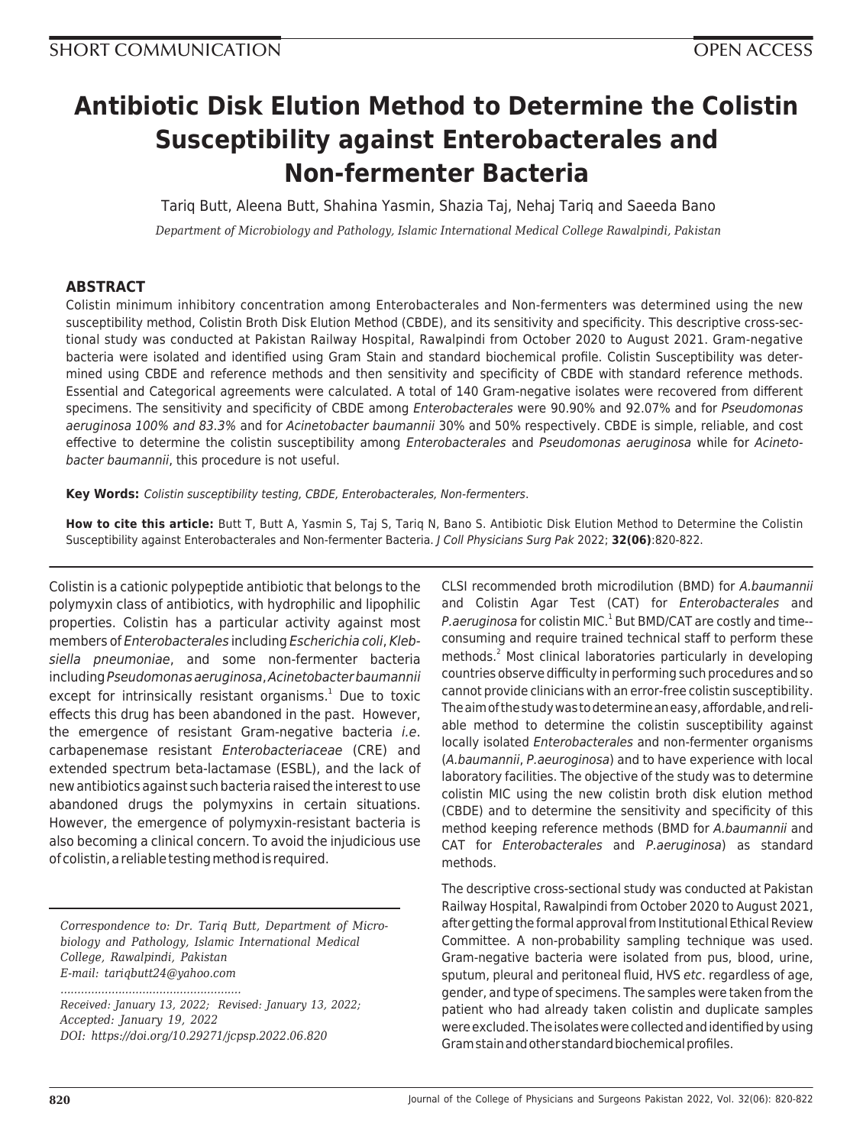# **Antibiotic Disk Elution Method to Determine the Colistin Susceptibility against Enterobacterales and Non-fermenter Bacteria**

Tariq Butt, Aleena Butt, Shahina Yasmin, Shazia Taj, Nehaj Tariq and Saeeda Bano

*Department of Microbiology and Pathology, Islamic International Medical College Rawalpindi, Pakistan*

# **ABSTRACT**

Colistin minimum inhibitory concentration among Enterobacterales and Non-fermenters was determined using the new susceptibility method, Colistin Broth Disk Elution Method (CBDE), and its sensitivity and specificity. This descriptive cross-sectional study was conducted at Pakistan Railway Hospital, Rawalpindi from October 2020 to August 2021. Gram-negative bacteria were isolated and identified using Gram Stain and standard biochemical profile. Colistin Susceptibility was determined using CBDE and reference methods and then sensitivity and specificity of CBDE with standard reference methods. Essential and Categorical agreements were calculated. A total of 140 Gram-negative isolates were recovered from different specimens. The sensitivity and specificity of CBDE among Enterobacterales were 90.90% and 92.07% and for Pseudomonas aeruginosa 100% and 83.3% and for Acinetobacter baumannii 30% and 50% respectively. CBDE is simple, reliable, and cost effective to determine the colistin susceptibility among Enterobacterales and Pseudomonas aeruginosa while for Acinetobacter baumannii, this procedure is not useful.

**Key Words:** Colistin susceptibility testing, CBDE, Enterobacterales, Non-fermenters.

**How to cite this article:** Butt T, Butt A, Yasmin S, Taj S, Tariq N, Bano S. Antibiotic Disk Elution Method to Determine the Colistin Susceptibility against Enterobacterales and Non-fermenter Bacteria. J Coll Physicians Surg Pak 2022; **32(06)**:820-822.

Colistin is a cationic polypeptide antibiotic that belongs to the polymyxin class of antibiotics, with hydrophilic and lipophilic properties. Colistin has a particular activity against most members of Enterobacterales including Escherichia coli, Klebsiella pneumoniae, and some non-fermenter bacteria including Pseudomonas aeruginosa, Acinetobacter baumannii except for intrinsically resistant organisms.<sup>1</sup> Due to toxic effects this drug has been abandoned in the past. However, the emergence of resistant Gram-negative bacteria *i.e.* carbapenemase resistant Enterobacteriaceae (CRE) and extended spectrum beta-lactamase (ESBL), and the lack of new antibiotics against such bacteria raised the interest to use abandoned drugs the polymyxins in certain situations. However, the emergence of polymyxin-resistant bacteria is also becoming a clinical concern. To avoid the injudicious use of colistin, a reliable testing method is required.

*Correspondence to: Dr. Tariq Butt, Department of Microbiology and Pathology, Islamic International Medical College, Rawalpindi, Pakistan E-mail: tariqbutt24@yahoo.com*

*.....................................................*

*Received: January 13, 2022; Revised: January 13, 2022; Accepted: January 19, 2022 DOI: https://doi.org/10.29271/jcpsp.2022.06.820*

CLSI recommended broth microdilution (BMD) for A.baumannii and Colistin Agar Test (CAT) for Enterobacterales and P.aeruginosa for colistin MIC.<sup>1</sup> But BMD/CAT are costly and time-consuming and require trained technical staff to perform these methods.<sup>2</sup> Most clinical laboratories particularly in developing countries observe difficulty in performing such procedures and so cannot provide clinicians with an error-free colistin susceptibility. The aim of the study was to determine an easy, affordable, and reliable method to determine the colistin susceptibility against locally isolated Enterobacterales and non-fermenter organisms (A.baumannii, P.aeuroginosa) and to have experience with local laboratory facilities. The objective of the study was to determine colistin MIC using the new colistin broth disk elution method (CBDE) and to determine the sensitivity and specificity of this method keeping reference methods (BMD for A.baumannii and CAT for Enterobacterales and P.aeruginosa) as standard methods.

The descriptive cross-sectional study was conducted at Pakistan Railway Hospital, Rawalpindi from October 2020 to August 2021, after getting the formal approval from Institutional Ethical Review Committee. A non-probability sampling technique was used. Gram-negative bacteria were isolated from pus, blood, urine, sputum, pleural and peritoneal fluid, HVS etc. regardless of age, gender, and type of specimens. The samples were taken from the patient who had already taken colistin and duplicate samples were excluded. The isolates were collected and identified by using Gram stain and other standard biochemical profiles.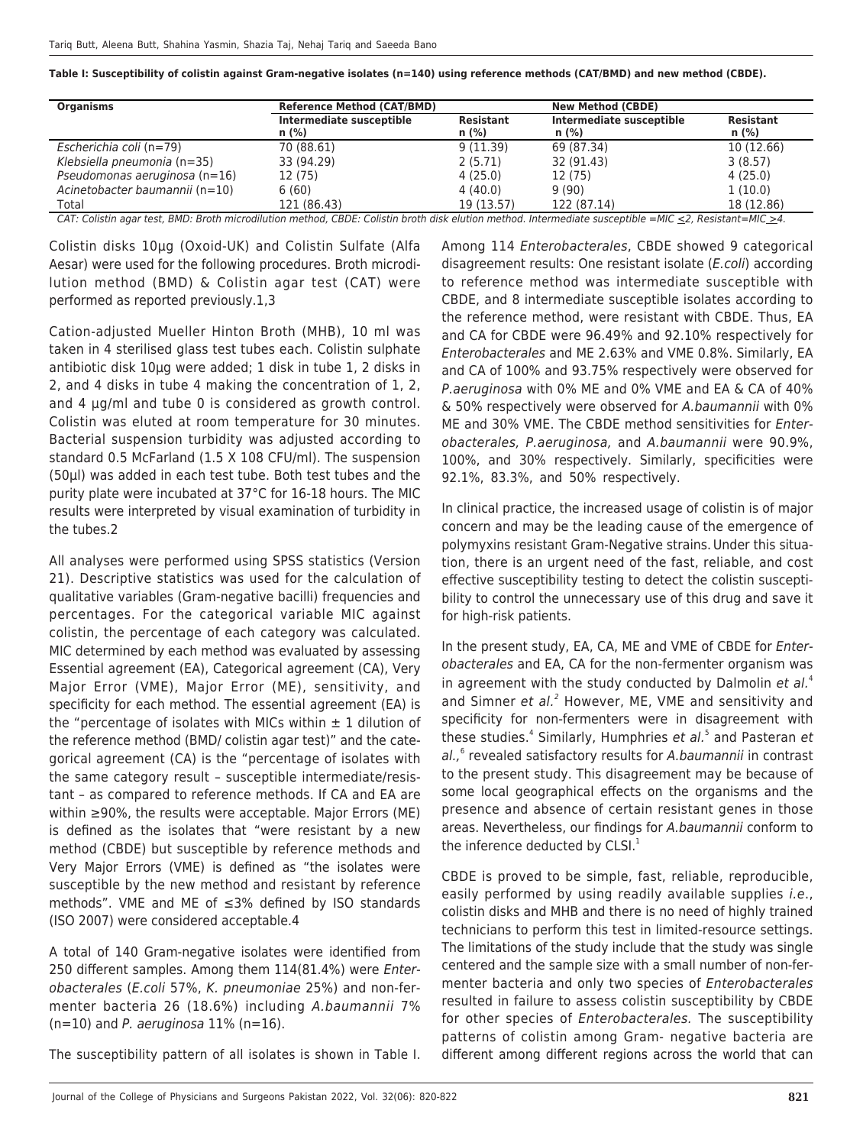**Table I: Susceptibility of colistin against Gram-negative isolates (n=140) using reference methods (CAT/BMD) and new method (CBDE).**

| <b>Organisms</b>                                                                                                                                                                                                                                                         | <b>Reference Method (CAT/BMD)</b>   |                             | <b>New Method (CBDE)</b>            |                      |
|--------------------------------------------------------------------------------------------------------------------------------------------------------------------------------------------------------------------------------------------------------------------------|-------------------------------------|-----------------------------|-------------------------------------|----------------------|
|                                                                                                                                                                                                                                                                          | Intermediate susceptible<br>$n$ (%) | <b>Resistant</b><br>$n$ (%) | Intermediate susceptible<br>$n$ (%) | Resistant<br>$n$ (%) |
| Escherichia coli (n=79)                                                                                                                                                                                                                                                  | 70 (88.61)                          | 9(11.39)                    | 69 (87.34)                          | 10 (12.66)           |
| Klebsiella pneumonia (n=35)                                                                                                                                                                                                                                              | 33 (94.29)                          | 2(5.71)                     | 32 (91.43)                          | 3(8.57)              |
| Pseudomonas aeruginosa (n=16)                                                                                                                                                                                                                                            | 12 (75)                             | 4(25.0)                     | 12 (75)                             | 4(25.0)              |
| Acinetobacter baumannii (n=10)                                                                                                                                                                                                                                           | 6(60)                               | 4(40.0)                     | 9(90)                               | 1(10.0)              |
| Total<br>$CAT$ , $C_4$ is the conception $DMD$ , $D1$ and $D1$ , $D1$ , $D1$ , $D1$ , $D1$ , $D1$ , $D1$ , $D1$ , $D1$ , $D1$ , $D1$ , $D1$ , $D1$ , $D1$ , $D1$ , $D1$ , $D1$ , $D1$ , $D1$ , $D1$ , $D1$ , $D1$ , $D1$ , $D2$ , $D1$ , $D1$ , $D2$ , $D1$ , $D1$ , $D$ | 121 (86.43)                         | 19 (13.57)                  | 122 (87.14)                         | 18 (12.86)           |

CAT: Colistin agar test, BMD: Broth microdilution method, CBDE: Colistin broth disk elution method. Intermediate susceptible =MIC  $\leq$ 2, Resistant=MIC  $\geq$ 4.

Colistin disks 10µg (Oxoid-UK) and Colistin Sulfate (Alfa Aesar) were used for the following procedures. Broth microdilution method (BMD) & Colistin agar test (CAT) were performed as reported previously.1,3

Cation-adjusted Mueller Hinton Broth (MHB), 10 ml was taken in 4 sterilised glass test tubes each. Colistin sulphate antibiotic disk 10µg were added; 1 disk in tube 1, 2 disks in 2, and 4 disks in tube 4 making the concentration of 1, 2, and 4 µg/ml and tube 0 is considered as growth control. Colistin was eluted at room temperature for 30 minutes. Bacterial suspension turbidity was adjusted according to standard 0.5 McFarland (1.5 X 108 CFU/ml). The suspension (50µl) was added in each test tube. Both test tubes and the purity plate were incubated at 37°C for 16-18 hours. The MIC results were interpreted by visual examination of turbidity in the tubes.2

All analyses were performed using SPSS statistics (Version 21). Descriptive statistics was used for the calculation of qualitative variables (Gram-negative bacilli) frequencies and percentages. For the categorical variable MIC against colistin, the percentage of each category was calculated. MIC determined by each method was evaluated by assessing Essential agreement (EA), Categorical agreement (CA), Very Major Error (VME), Major Error (ME), sensitivity, and specificity for each method. The essential agreement (EA) is the "percentage of isolates with MICs within  $\pm$  1 dilution of the reference method (BMD/ colistin agar test)" and the categorical agreement (CA) is the "percentage of isolates with the same category result – susceptible intermediate/resistant – as compared to reference methods. If CA and EA are within ≥90%, the results were acceptable. Major Errors (ME) is defined as the isolates that "were resistant by a new method (CBDE) but susceptible by reference methods and Very Major Errors (VME) is defined as "the isolates were susceptible by the new method and resistant by reference methods". VME and ME of ≤3% defined by ISO standards (ISO 2007) were considered acceptable.4

A total of 140 Gram-negative isolates were identified from 250 different samples. Among them 114(81.4%) were Enterobacterales (E.coli 57%, K. pneumoniae 25%) and non-fermenter bacteria 26 (18.6%) including A.baumannii 7%  $(n=10)$  and P. aeruginosa 11% (n=16).

The susceptibility pattern of all isolates is shown in Table I.

Among 114 Enterobacterales, CBDE showed 9 categorical disagreement results: One resistant isolate (E.coli) according to reference method was intermediate susceptible with CBDE, and 8 intermediate susceptible isolates according to the reference method, were resistant with CBDE. Thus, EA and CA for CBDE were 96.49% and 92.10% respectively for Enterobacterales and ME 2.63% and VME 0.8%. Similarly, EA and CA of 100% and 93.75% respectively were observed for P.aeruginosa with 0% ME and 0% VME and EA & CA of 40% & 50% respectively were observed for A.baumannii with 0% ME and 30% VME. The CBDE method sensitivities for Enterobacterales, P.aeruginosa, and A.baumannii were 90.9%, 100%, and 30% respectively. Similarly, specificities were 92.1%, 83.3%, and 50% respectively.

In clinical practice, the increased usage of colistin is of major concern and may be the leading cause of the emergence of polymyxins resistant Gram-Negative strains.Under this situation, there is an urgent need of the fast, reliable, and cost effective susceptibility testing to detect the colistin susceptibility to control the unnecessary use of this drug and save it for high-risk patients.

In the present study, EA, CA, ME and VME of CBDE for Enterobacterales and EA, CA for the non-fermenter organism was in agreement with the study conducted by Dalmolin et  $al<sup>4</sup>$ and Simner et al.<sup>2</sup> However, ME, VME and sensitivity and specificity for non-fermenters were in disagreement with these studies.<sup>4</sup> Similarly, Humphries et al.<sup>5</sup> and Pasteran et al.,<sup>6</sup> revealed satisfactory results for A.baumannii in contrast to the present study. This disagreement may be because of some local geographical effects on the organisms and the presence and absence of certain resistant genes in those areas. Nevertheless, our findings for A.baumannii conform to the inference deducted by  $CLSI.<sup>1</sup>$ 

CBDE is proved to be simple, fast, reliable, reproducible, easily performed by using readily available supplies *i.e.*, colistin disks and MHB and there is no need of highly trained technicians to perform this test in limited-resource settings. The limitations of the study include that the study was single centered and the sample size with a small number of non-fermenter bacteria and only two species of Enterobacterales resulted in failure to assess colistin susceptibility by CBDE for other species of *Enterobacterales*. The susceptibility patterns of colistin among Gram- negative bacteria are different among different regions across the world that can